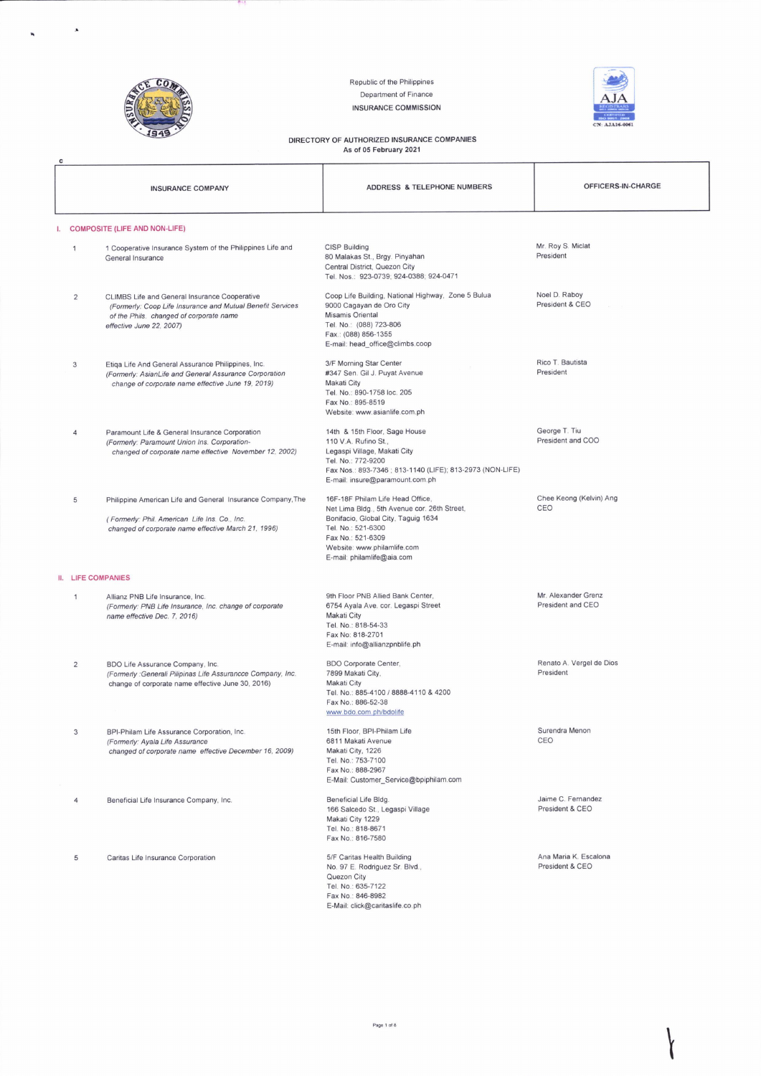

 $\pmb{\lambda}$ 

**START START** 

Republic of the Philippines Department of Finance

**INSURANCE COMMISSION** 



## DIRECTORY OF AUTHORIZED INSURANCE COMPANIES<br>As of 05 February 2021

|    |                                      | <b>INSURANCE COMPANY</b>                                                                                                                                                           | ADDRESS & TELEPHONE NUMBERS                                                                                                                                                                                                     | OFFICERS-IN-CHARGE                       |  |
|----|--------------------------------------|------------------------------------------------------------------------------------------------------------------------------------------------------------------------------------|---------------------------------------------------------------------------------------------------------------------------------------------------------------------------------------------------------------------------------|------------------------------------------|--|
| I. | <b>COMPOSITE (LIFE AND NON-LIFE)</b> |                                                                                                                                                                                    |                                                                                                                                                                                                                                 |                                          |  |
|    | $\mathbf{1}$                         | 1 Cooperative Insurance System of the Philippines Life and<br>General Insurance                                                                                                    | <b>CISP Building</b><br>80 Malakas St., Brgy. Pinyahan<br>Central District, Quezon City<br>Tel. Nos.: 923-0739; 924-0388; 924-0471                                                                                              | Mr. Roy S. Miclat<br>President           |  |
|    | 2                                    | CLIMBS Life and General Insurance Cooperative<br>(Formerly: Coop Life Insurance and Mutual Benefit Services<br>of the Phils. changed of corporate name<br>effective June 22, 2007) | Coop Life Building, National Highway, Zone 5 Bulua<br>9000 Cagayan de Oro City<br>Misamis Oriental<br>Tel. No.: (088) 723-806<br>Fax.: (088) 856-1355<br>E-mail: head_office@climbs.coop                                        | Noel D. Raboy<br>President & CEO         |  |
|    | 3                                    | Etiga Life And General Assurance Philippines, Inc.<br>(Formerly: AsianLife and General Assurance Corporation<br>change of corporate name effective June 19, 2019)                  | 3/F Morning Star Center<br>#347 Sen. Gil J. Puyat Avenue<br>Makati City<br>Tel. No.: 890-1758 loc. 205<br>Fax No.: 895-8519<br>Website: www.asianlife.com.ph                                                                    | Rico T. Bautista<br>President            |  |
|    | 4                                    | Paramount Life & General Insurance Corporation<br>(Formerly: Paramount Union Ins. Corporation-<br>changed of corporate name effective November 12, 2002)                           | 14th & 15th Floor, Sage House<br>110 V.A. Rufino St.,<br>Legaspi Village, Makati City<br>Tel. No.: 772-9200<br>Fax Nos.: 893-7346 ; 813-1140 (LIFE); 813-2973 (NON-LIFE)<br>E-mail: insure@paramount.com.ph                     | George T. Tiu<br>President and COO       |  |
|    | 5                                    | Philippine American Life and General Insurance Company, The<br>(Formerly: Phil. American Life Ins. Co., Inc.<br>changed of corporate name effective March 21, 1996)                | 16F-18F Philam Life Head Office,<br>Net Lima Bldg., 5th Avenue cor. 26th Street,<br>Bonifacio, Global City, Taguig 1634<br>Tel. No.: 521-6300<br>Fax No.: 521-6309<br>Website: www.philamlife.com<br>E-mail: philamlife@aia.com | Chee Keong (Kelvin) Ang<br>CEO           |  |
|    | <b>II. LIFE COMPANIES</b>            |                                                                                                                                                                                    |                                                                                                                                                                                                                                 |                                          |  |
|    | 1                                    | Allianz PNB Life Insurance, Inc.<br>(Formerly: PNB Life Insurance, Inc. change of corporate<br>name effective Dec. 7, 2016)                                                        | 9th Floor PNB Allied Bank Center,<br>6754 Ayala Ave. cor. Legaspi Street<br>Makati City<br>Tel. No.: 818-54-33<br>Fax No: 818-2701<br>E-mail: info@allianzpnblife.ph                                                            | Mr. Alexander Grenz<br>President and CEO |  |
|    | $\overline{2}$                       | BDO Life Assurance Company, Inc.<br>(Formerly : Generali Pilipinas Life Assurancce Company, Inc.<br>change of corporate name effective June 30, 2016)                              | <b>BDO Corporate Center,</b><br>7899 Makati City,<br>Makati City<br>Tel. No.: 885-4100 / 8888-4110 & 4200<br>Fax No.: 886-52-38<br>www.bdo.com.ph/bdolife                                                                       | Renato A. Vergel de Dios<br>President    |  |
|    | 3                                    | BPI-Philam Life Assurance Corporation, Inc.<br>(Formerly: Ayala Life Assurance<br>changed of corporate name effective December 16, 2009)                                           | 15th Floor, BPI-Philam Life<br>6811 Makati Avenue<br>Makati City, 1226<br>Tel. No.: 753-7100<br>Fax No.: 888-2967<br>E-Mail: Customer_Service@bpiphilam.com                                                                     | Surendra Menon<br>CEO                    |  |
|    | 4                                    | Beneficial Life Insurance Company, Inc.                                                                                                                                            | Beneficial Life Bldg.<br>166 Salcedo St., Legaspi Village<br>Makati City 1229<br>Tel. No.: 818-8671<br>Fax No.: 816-7580                                                                                                        | Jaime C. Fernandez<br>President & CEO    |  |
|    | 5                                    | Caritas Life Insurance Corporation                                                                                                                                                 | 5/F Caritas Health Building<br>No. 97 E. Rodriguez Sr. Blvd.,<br>Quezon City<br>Tel. No.: 635-7122<br>Fax No.: 846-8982<br>E-Mail: click@caritaslife.co.ph                                                                      | Ana Maria K. Escalona<br>President & CEO |  |